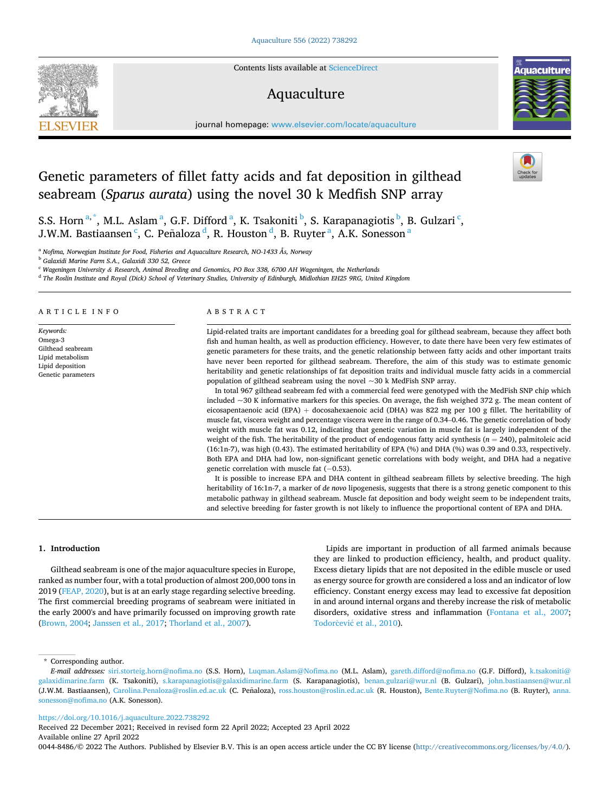Contents lists available at [ScienceDirect](www.sciencedirect.com/science/journal/00448486)

# Aquaculture

journal homepage: [www.elsevier.com/locate/aquaculture](https://www.elsevier.com/locate/aquaculture) 

# Genetic parameters of fillet fatty acids and fat deposition in gilthead seabream (*Sparus aurata*) using the novel 30 k Medfish SNP array

S.S. Horn  $a^*$ , M.L. Aslam  $a^*$ , G.F. Difford  $a^*$ , K. Tsakoniti  $b^*$ , S. Karapanagiotis  $b^*$ , B. Gulzari  $c^*$ , J.W.M. Bastiaansen  $\mathrm{^c}$ , C. Peñaloza  $\mathrm{^d}$ , R. Houston  $\mathrm{^d}$ , B. Ruyter  $\mathrm{^a}$ , A.K. Sonesson  $\mathrm{^a}$ 

<sup>a</sup> *Nofima, Norwegian Institute for Food, Fisheries and Aquaculture Research, NO-1433 Ås, Norway* 

<sup>b</sup> *Galaxidi Marine Farm S.A., Galaxidi 330 52, Greece* 

<sup>c</sup> *Wageningen University & Research, Animal Breeding and Genomics, PO Box 338, 6700 AH Wageningen, the Netherlands* 

<sup>d</sup> *The Roslin Institute and Royal (Dick) School of Veterinary Studies, University of Edinburgh, Midlothian EH25 9RG, United Kingdom* 

ARTICLE INFO

*Keywords:*  Omega-3 Gilthead seabream Lipid metabolism Lipid deposition Genetic parameters

# ABSTRACT

Lipid-related traits are important candidates for a breeding goal for gilthead seabream, because they affect both fish and human health, as well as production efficiency. However, to date there have been very few estimates of genetic parameters for these traits, and the genetic relationship between fatty acids and other important traits have never been reported for gilthead seabream. Therefore, the aim of this study was to estimate genomic heritability and genetic relationships of fat deposition traits and individual muscle fatty acids in a commercial population of gilthead seabream using the novel ~30 k MedFish SNP array.

In total 967 gilthead seabream fed with a commercial feed were genotyped with the MedFish SNP chip which included ~30 K informative markers for this species. On average, the fish weighed 372 g. The mean content of eicosapentaenoic acid (EPA) + docosahexaenoic acid (DHA) was 822 mg per 100 g fillet. The heritability of muscle fat, viscera weight and percentage viscera were in the range of 0.34–0.46. The genetic correlation of body weight with muscle fat was 0.12, indicating that genetic variation in muscle fat is largely independent of the weight of the fish. The heritability of the product of endogenous fatty acid synthesis (*n* = 240), palmitoleic acid (16:1n-7), was high (0.43). The estimated heritability of EPA (%) and DHA (%) was 0.39 and 0.33, respectively. Both EPA and DHA had low, non-significant genetic correlations with body weight, and DHA had a negative genetic correlation with muscle fat (-0.53).

It is possible to increase EPA and DHA content in gilthead seabream fillets by selective breeding. The high heritability of 16:1n-7, a marker of *de novo* lipogenesis, suggests that there is a strong genetic component to this metabolic pathway in gilthead seabream. Muscle fat deposition and body weight seem to be independent traits, and selective breeding for faster growth is not likely to influence the proportional content of EPA and DHA.

#### **1. Introduction**

Gilthead seabream is one of the major aquaculture species in Europe, ranked as number four, with a total production of almost 200,000 tons in 2019 [\(FEAP, 2020](#page-6-0)), but is at an early stage regarding selective breeding. The first commercial breeding programs of seabream were initiated in the early 2000's and have primarily focussed on improving growth rate ([Brown, 2004](#page-6-0); [Janssen et al., 2017;](#page-6-0) [Thorland et al., 2007](#page-7-0)).

Lipids are important in production of all farmed animals because they are linked to production efficiency, health, and product quality. Excess dietary lipids that are not deposited in the edible muscle or used as energy source for growth are considered a loss and an indicator of low efficiency. Constant energy excess may lead to excessive fat deposition in and around internal organs and thereby increase the risk of metabolic disorders, oxidative stress and inflammation [\(Fontana et al., 2007](#page-6-0); Todorčević et al., 2010).

\* Corresponding author.

<https://doi.org/10.1016/j.aquaculture.2022.738292>

Available online 27 April 2022 Received 22 December 2021; Received in revised form 22 April 2022; Accepted 23 April 2022

0044-8486/© 2022 The Authors. Published by Elsevier B.V. This is an open access article under the CC BY license [\(http://creativecommons.org/licenses/by/4.0/\)](http://creativecommons.org/licenses/by/4.0/).







*E-mail addresses:* [siri.storteig.horn@nofima.no](mailto:siri.storteig.horn@nofima.no) (S.S. Horn), [Luqman.Aslam@Nofima.no](mailto:Luqman.Aslam@Nofima.no) (M.L. Aslam), [gareth.difford@nofima.no](mailto:gareth.difford@nofima.no) (G.F. Difford), [k.tsakoniti@](mailto:k.tsakoniti@galaxidimarine.farm)  [galaxidimarine.farm](mailto:k.tsakoniti@galaxidimarine.farm) (K. Tsakoniti), [s.karapanagiotis@galaxidimarine.farm](mailto:s.karapanagiotis@galaxidimarine.farm) (S. Karapanagiotis), [benan.gulzari@wur.nl](mailto:benan.gulzari@wur.nl) (B. Gulzari), john.bastiaansen@wur.nl (J.W.M. Bastiaansen), [Carolina.Penaloza@roslin.ed.ac.uk](mailto:Carolina.Penaloza@roslin.ed.ac.uk) (C. Peñaloza), [ross.houston@roslin.ed.ac.uk](mailto:ross.houston@roslin.ed.ac.uk) (R. Houston), [Bente.Ruyter@Nofima.no](mailto:Bente.Ruyter@Nofima.no) (B. Ruyter), anna. [sonesson@nofima.no](mailto:anna.sonesson@nofima.no) (A.K. Sonesson).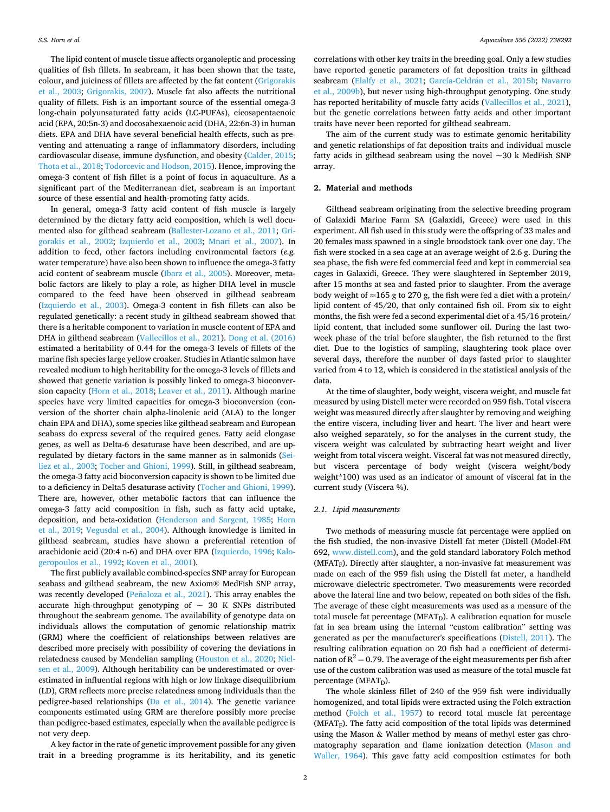The lipid content of muscle tissue affects organoleptic and processing qualities of fish fillets. In seabream, it has been shown that the taste, colour, and juiciness of fillets are affected by the fat content [\(Grigorakis](#page-6-0)  [et al., 2003](#page-6-0); [Grigorakis, 2007\)](#page-6-0). Muscle fat also affects the nutritional quality of fillets. Fish is an important source of the essential omega-3 long-chain polyunsaturated fatty acids (LC-PUFAs), eicosapentaenoic acid (EPA, 20:5n-3) and docosahexaenoic acid (DHA, 22:6n-3) in human diets. EPA and DHA have several beneficial health effects, such as preventing and attenuating a range of inflammatory disorders, including cardiovascular disease, immune dysfunction, and obesity [\(Calder, 2015](#page-6-0); [Thota et al., 2018; Todorcevic and Hodson, 2015\)](#page-7-0). Hence, improving the omega-3 content of fish fillet is a point of focus in aquaculture. As a significant part of the Mediterranean diet, seabream is an important source of these essential and health-promoting fatty acids.

In general, omega-3 fatty acid content of fish muscle is largely determined by the dietary fatty acid composition, which is well documented also for gilthead seabream ([Ballester-Lozano et al., 2011;](#page-6-0) [Gri](#page-6-0)[gorakis et al., 2002;](#page-6-0) [Izquierdo et al., 2003;](#page-6-0) [Mnari et al., 2007](#page-6-0)). In addition to feed, other factors including environmental factors (*e.g.*  water temperature) have also been shown to influence the omega-3 fatty acid content of seabream muscle [\(Ibarz et al., 2005\)](#page-6-0). Moreover, metabolic factors are likely to play a role, as higher DHA level in muscle compared to the feed have been observed in gilthead seabream ([Izquierdo et al., 2003\)](#page-6-0). Omega-3 content in fish fillets can also be regulated genetically: a recent study in gilthead seabream showed that there is a heritable component to variation in muscle content of EPA and DHA in gilthead seabream [\(Vallecillos et al., 2021\)](#page-7-0). [Dong et al. \(2016\)](#page-6-0)  estimated a heritability of 0.44 for the omega-3 levels of fillets of the marine fish species large yellow croaker. Studies in Atlantic salmon have revealed medium to high heritability for the omega-3 levels of fillets and showed that genetic variation is possibly linked to omega-3 bioconversion capacity [\(Horn et al., 2018](#page-6-0); [Leaver et al., 2011](#page-6-0)). Although marine species have very limited capacities for omega-3 bioconversion (conversion of the shorter chain alpha-linolenic acid (ALA) to the longer chain EPA and DHA), some species like gilthead seabream and European seabass do express several of the required genes. Fatty acid elongase genes, as well as Delta-6 desaturase have been described, and are upregulated by dietary factors in the same manner as in salmonids ([Sei](#page-7-0)[liez et al., 2003; Tocher and Ghioni, 1999](#page-7-0)). Still, in gilthead seabream, the omega-3 fatty acid bioconversion capacity is shown to be limited due to a deficiency in Delta5 desaturase activity ([Tocher and Ghioni, 1999](#page-7-0)). There are, however, other metabolic factors that can influence the omega-3 fatty acid composition in fish, such as fatty acid uptake, deposition, and beta-oxidation [\(Henderson and Sargent, 1985;](#page-6-0) [Horn](#page-6-0)  [et al., 2019;](#page-6-0) [Vegusdal et al., 2004](#page-7-0)). Although knowledge is limited in gilthead seabream, studies have shown a preferential retention of arachidonic acid (20:4 n-6) and DHA over EPA ([Izquierdo, 1996; Kalo](#page-6-0)[geropoulos et al., 1992;](#page-6-0) [Koven et al., 2001](#page-6-0)).

The first publicly available combined-species SNP array for European seabass and gilthead seabream, the new Axiom® MedFish SNP array, was recently developed (Peñaloza [et al., 2021\)](#page-7-0). This array enables the accurate high-throughput genotyping of  $\sim$  30 K SNPs distributed throughout the seabream genome. The availability of genotype data on individuals allows the computation of genomic relationship matrix (GRM) where the coefficient of relationships between relatives are described more precisely with possibility of covering the deviations in relatedness caused by Mendelian sampling [\(Houston et al., 2020;](#page-6-0) [Niel](#page-7-0)[sen et al., 2009](#page-7-0)). Although heritability can be underestimated or overestimated in influential regions with high or low linkage disequilibrium (LD), GRM reflects more precise relatedness among individuals than the pedigree-based relationships ([Da et al., 2014](#page-6-0)). The genetic variance components estimated using GRM are therefore possibly more precise than pedigree-based estimates, especially when the available pedigree is not very deep.

A key factor in the rate of genetic improvement possible for any given trait in a breeding programme is its heritability, and its genetic

correlations with other key traits in the breeding goal. Only a few studies have reported genetic parameters of fat deposition traits in gilthead seabream ([Elalfy et al., 2021](#page-6-0); García-Celdrán et al., 2015b; Navarro [et al., 2009b](#page-7-0)), but never using high-throughput genotyping. One study has reported heritability of muscle fatty acids [\(Vallecillos et al., 2021](#page-7-0)), but the genetic correlations between fatty acids and other important traits have never been reported for gilthead seabream.

The aim of the current study was to estimate genomic heritability and genetic relationships of fat deposition traits and individual muscle fatty acids in gilthead seabream using the novel  $\sim$ 30 k MedFish SNP array.

# **2. Material and methods**

Gilthead seabream originating from the selective breeding program of Galaxidi Marine Farm SA (Galaxidi, Greece) were used in this experiment. All fish used in this study were the offspring of 33 males and 20 females mass spawned in a single broodstock tank over one day. The fish were stocked in a sea cage at an average weight of 2.6 g. During the sea phase, the fish were fed commercial feed and kept in commercial sea cages in Galaxidi, Greece. They were slaughtered in September 2019, after 15 months at sea and fasted prior to slaughter. From the average body weight of  $\approx$ 165 g to 270 g, the fish were fed a diet with a protein/ lipid content of 45/20, that only contained fish oil. From six to eight months, the fish were fed a second experimental diet of a 45/16 protein/ lipid content, that included some sunflower oil. During the last twoweek phase of the trial before slaughter, the fish returned to the first diet. Due to the logistics of sampling, slaughtering took place over several days, therefore the number of days fasted prior to slaughter varied from 4 to 12, which is considered in the statistical analysis of the data.

At the time of slaughter, body weight, viscera weight, and muscle fat measured by using Distell meter were recorded on 959 fish. Total viscera weight was measured directly after slaughter by removing and weighing the entire viscera, including liver and heart. The liver and heart were also weighed separately, so for the analyses in the current study, the viscera weight was calculated by subtracting heart weight and liver weight from total viscera weight. Visceral fat was not measured directly, but viscera percentage of body weight (viscera weight/body weight\*100) was used as an indicator of amount of visceral fat in the current study (Viscera %).

#### *2.1. Lipid measurements*

Two methods of measuring muscle fat percentage were applied on the fish studied, the non-invasive Distell fat meter (Distell (Model-FM 692, [www.distell.com\)](http://www.distell.com), and the gold standard laboratory Folch method  $(MFAT<sub>F</sub>)$ . Directly after slaughter, a non-invasive fat measurement was made on each of the 959 fish using the Distell fat meter, a handheld microwave dielectric spectrometer. Two measurements were recorded above the lateral line and two below, repeated on both sides of the fish. The average of these eight measurements was used as a measure of the total muscle fat percentage (MFAT<sub>D</sub>). A calibration equation for muscle fat in sea bream using the internal "custom calibration" setting was generated as per the manufacturer's specifications ([Distell, 2011](#page-6-0)). The resulting calibration equation on 20 fish had a coefficient of determination of  $R^2 = 0.79$ . The average of the eight measurements per fish after use of the custom calibration was used as measure of the total muscle fat percentage ( $MFAT_D$ ).

The whole skinless fillet of 240 of the 959 fish were individually homogenized, and total lipids were extracted using the Folch extraction method ([Folch et al., 1957](#page-6-0)) to record total muscle fat percentage ( $MFAT<sub>F</sub>$ ). The fatty acid composition of the total lipids was determined using the Mason & Waller method by means of methyl ester gas chromatography separation and flame ionization detection ([Mason and](#page-6-0)  [Waller, 1964](#page-6-0)). This gave fatty acid composition estimates for both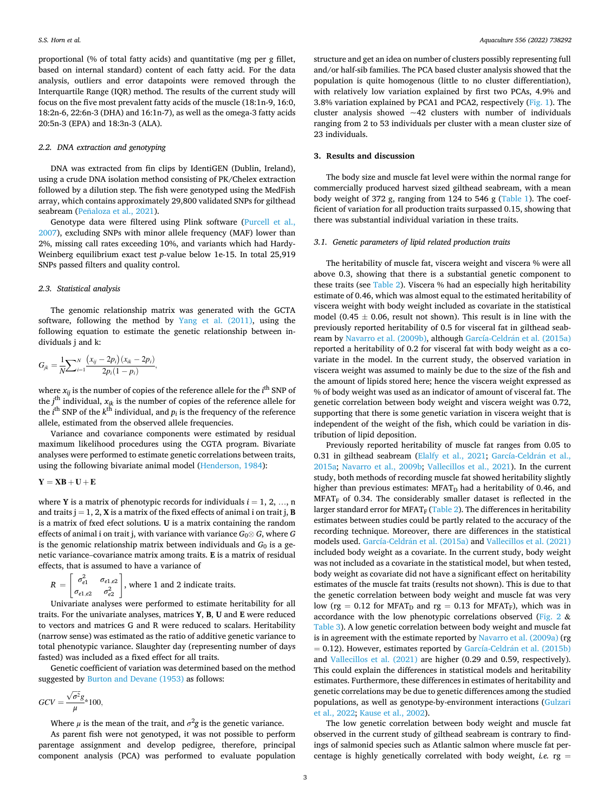proportional (% of total fatty acids) and quantitative (mg per g fillet, based on internal standard) content of each fatty acid. For the data analysis, outliers and error datapoints were removed through the Interquartile Range (IQR) method. The results of the current study will focus on the five most prevalent fatty acids of the muscle (18:1n-9, 16:0, 18:2n-6, 22:6n-3 (DHA) and 16:1n-7), as well as the omega-3 fatty acids 20:5n-3 (EPA) and 18:3n-3 (ALA).

# *2.2. DNA extraction and genotyping*

DNA was extracted from fin clips by IdentiGEN (Dublin, Ireland), using a crude DNA isolation method consisting of PK/Chelex extraction followed by a dilution step. The fish were genotyped using the MedFish array, which contains approximately 29,800 validated SNPs for gilthead seabream (Peñaloza [et al., 2021\)](#page-7-0).

Genotype data were filtered using Plink software ([Purcell et al.,](#page-7-0)  [2007\)](#page-7-0), excluding SNPs with minor allele frequency (MAF) lower than 2%, missing call rates exceeding 10%, and variants which had Hardy-Weinberg equilibrium exact test *p*-value below 1e-15. In total 25,919 SNPs passed filters and quality control.

#### *2.3. Statistical analysis*

The genomic relationship matrix was generated with the GCTA software, following the method by [Yang et al. \(2011\),](#page-7-0) using the following equation to estimate the genetic relationship between individuals j and k:

$$
G_{jk} = \frac{1}{N} \sum_{i=1}^{N} \frac{(x_{ij} - 2p_i)(x_{ik} - 2p_i)}{2p_i(1 - p_i)},
$$

where  $x_{ij}$  is the number of copies of the reference allele for the  $i^{\rm th}$  SNP of the  $j^{\text{th}}$  individual,  $x_{jk}$  is the number of copies of the reference allele for the  $i^{\text{th}}$  SNP of the  $k^{\text{th}}$  individual, and  $p_i$  is the frequency of the reference allele, estimated from the observed allele frequencies.

Variance and covariance components were estimated by residual maximum likelihood procedures using the CGTA program. Bivariate analyses were performed to estimate genetic correlations between traits, using the following bivariate animal model ([Henderson, 1984](#page-6-0)):

# $Y = XB + U + E$

where **Y** is a matrix of phenotypic records for individuals  $i = 1, 2, ..., n$ and traits  $j = 1, 2, X$  is a matrix of the fixed effects of animal i on trait j, **B** is a matrix of fxed efect solutions. **U** is a matrix containing the random effects of animal i on trait j, with variance with variance  $G_0 \otimes G$ , where  $G$ is the genomic relationship matrix between individuals and *G*<sup>0</sup> is a genetic variance–covariance matrix among traits. **E** is a matrix of residual effects, that is assumed to have a variance of

$$
R = \begin{bmatrix} \sigma_{e1}^2 & \sigma_{e1,e2} \\ \sigma_{e1,e2} & \sigma_{e2}^2 \end{bmatrix}
$$
, where 1 and 2 indicate traits.

Univariate analyses were performed to estimate heritability for all traits. For the univariate analyses, matrices **Y**, **B**, **U** and **E** were reduced to vectors and matrices G and R were reduced to scalars. Heritability (narrow sense) was estimated as the ratio of additive genetic variance to total phenotypic variance. Slaughter day (representing number of days fasted) was included as a fixed effect for all traits.

Genetic coefficient of variation was determined based on the method suggested by [Burton and Devane \(1953\)](#page-6-0) as follows:

$$
GCV = \frac{\sqrt{\sigma^2}g}{\mu} \times 100,
$$

Where  $\mu$  is the mean of the trait, and  $\sigma^2$ g is the genetic variance.

As parent fish were not genotyped, it was not possible to perform parentage assignment and develop pedigree, therefore, principal component analysis (PCA) was performed to evaluate population structure and get an idea on number of clusters possibly representing full and/or half-sib families. The PCA based cluster analysis showed that the population is quite homogenous (little to no cluster differentiation), with relatively low variation explained by first two PCAs, 4.9% and 3.8% variation explained by PCA1 and PCA2, respectively ([Fig. 1\)](#page-3-0). The cluster analysis showed  $\sim$  42 clusters with number of individuals ranging from 2 to 53 individuals per cluster with a mean cluster size of 23 individuals.

## **3. Results and discussion**

The body size and muscle fat level were within the normal range for commercially produced harvest sized gilthead seabream, with a mean body weight of 372 g, ranging from 124 to 546 g ([Table 1\)](#page-3-0). The coefficient of variation for all production traits surpassed 0.15, showing that there was substantial individual variation in these traits.

## *3.1. Genetic parameters of lipid related production traits*

The heritability of muscle fat, viscera weight and viscera % were all above 0.3, showing that there is a substantial genetic component to these traits (see [Table 2](#page-3-0)). Viscera % had an especially high heritability estimate of 0.46, which was almost equal to the estimated heritability of viscera weight with body weight included as covariate in the statistical model (0.45  $\pm$  0.06, result not shown). This result is in line with the previously reported heritability of 0.5 for visceral fat in gilthead seab-ream by [Navarro et al. \(2009b\),](#page-7-0) although García-Celdrán et al. (2015a) reported a heritability of 0.2 for visceral fat with body weight as a covariate in the model. In the current study, the observed variation in viscera weight was assumed to mainly be due to the size of the fish and the amount of lipids stored here; hence the viscera weight expressed as % of body weight was used as an indicator of amount of visceral fat. The genetic correlation between body weight and viscera weight was 0.72, supporting that there is some genetic variation in viscera weight that is independent of the weight of the fish, which could be variation in distribution of lipid deposition.

Previously reported heritability of muscle fat ranges from 0.05 to 0.31 in gilthead seabream [\(Elalfy et al., 2021;](#page-6-0) García-Celdrán et al., [2015a;](#page-6-0) [Navarro et al., 2009b](#page-7-0); [Vallecillos et al., 2021\)](#page-7-0). In the current study, both methods of recording muscle fat showed heritability slightly higher than previous estimates: MFAT<sub>D</sub> had a heritability of 0.46, and  $MFAT<sub>F</sub>$  of 0.34. The considerably smaller dataset is reflected in the larger standard error for MFAT<sub>F</sub> ([Table 2\)](#page-3-0). The differences in heritability estimates between studies could be partly related to the accuracy of the recording technique. Moreover, there are differences in the statistical models used. García-Celdrán et al. (2015a) and Vallecillos et al. (2021) included body weight as a covariate. In the current study, body weight was not included as a covariate in the statistical model, but when tested, body weight as covariate did not have a significant effect on heritability estimates of the muscle fat traits (results not shown). This is due to that the genetic correlation between body weight and muscle fat was very low (rg = 0.12 for MFAT<sub>D</sub> and rg = 0.13 for MFAT<sub>F</sub>), which was in accordance with the low phenotypic correlations observed ([Fig. 2](#page-3-0)  $\&$ [Table 3\)](#page-3-0). A low genetic correlation between body weight and muscle fat is in agreement with the estimate reported by [Navarro et al. \(2009a\)](#page-6-0) (rg = 0.12). However, estimates reported by García-Celdrán et al. (2015b) and [Vallecillos et al. \(2021\)](#page-7-0) are higher (0.29 and 0.59, respectively). This could explain the differences in statistical models and heritability estimates. Furthermore, these differences in estimates of heritability and genetic correlations may be due to genetic differences among the studied populations, as well as genotype-by-environment interactions ([Gulzari](#page-6-0)  [et al., 2022; Kause et al., 2002\)](#page-6-0).

The low genetic correlation between body weight and muscle fat observed in the current study of gilthead seabream is contrary to findings of salmonid species such as Atlantic salmon where muscle fat percentage is highly genetically correlated with body weight, *i.e.* rg =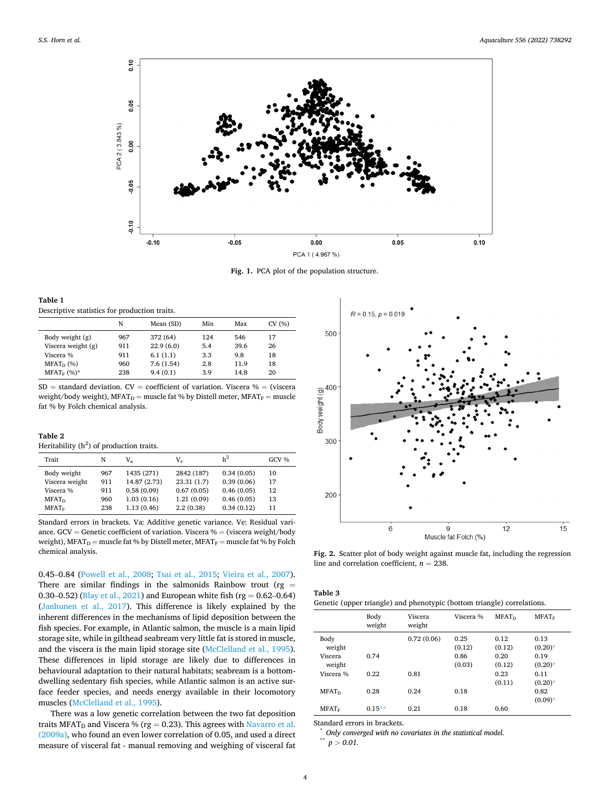<span id="page-3-0"></span>

**Fig. 1.** PCA plot of the population structure.

| Table 1                                       |
|-----------------------------------------------|
| Descriptive statistics for production traits. |

|                    | N   | Mean (SD) | Min | Max  | CV (%) |
|--------------------|-----|-----------|-----|------|--------|
| Body weight (g)    | 967 | 372 (64)  | 124 | 546  | 17     |
| Viscera weight (g) | 911 | 22.9(6.0) | 5.4 | 39.6 | 26     |
| Viscera %          | 911 | 6.1(1.1)  | 3.3 | 9.8  | 18     |
| $MFAT_D$ (%)       | 960 | 7.6(1.54) | 2.8 | 11.9 | 18     |
| $MFAT_F$ (%)*      | 238 | 9.4(0.1)  | 3.9 | 14.8 | 20     |

 $SD = standard deviation$ .  $CV = coefficient of variation$ . Viscera % = (viscera weight/body weight),  $MFAT_D$  = muscle fat % by Distell meter,  $MFAT_F$  = muscle fat % by Folch chemical analysis.

## **Table 2**

Heritability  $(h^2)$  of production traits.

| Trait          | N   | V,           | $V_{\rho}$ | h <sup>2</sup> | GCV % |
|----------------|-----|--------------|------------|----------------|-------|
| Body weight    | 967 | 1435 (271)   | 2842 (187) | 0.34(0.05)     | 10    |
| Viscera weight | 911 | 14.87 (2.73) | 23.31(1.7) | 0.39(0.06)     | 17    |
| Viscera %      | 911 | 0.58(0.09)   | 0.67(0.05) | 0.46(0.05)     | 12    |
| $MFAT_D$       | 960 | 1.03(0.16)   | 1.21(0.09) | 0.46(0.05)     | 13    |
| $MFAT_F$       | 238 | 1.13(0.46)   | 2.2(0.38)  | 0.34(0.12)     | 11    |

Standard errors in brackets. Va: Additive genetic variance. Ve: Residual variance. GCV = Genetic coefficient of variation. Viscera % = (viscera weight/body weight), MFAT $_{\rm D}$  = muscle fat % by Distell meter, MFAT $_{\rm F}$  = muscle fat % by Folch chemical analysis.

0.45–0.84 [\(Powell et al., 2008;](#page-7-0) [Tsai et al., 2015](#page-7-0); [Vieira et al., 2007](#page-7-0)). There are similar findings in the salmonids Rainbow trout (rg  $=$ 0.30–0.52) ([Blay et al., 2021\)](#page-6-0) and European white fish (rg =  $0.62-0.64$ ) ([Janhunen et al., 2017\)](#page-6-0). This difference is likely explained by the inherent differences in the mechanisms of lipid deposition between the fish species. For example, in Atlantic salmon, the muscle is a main lipid storage site, while in gilthead seabream very little fat is stored in muscle, and the viscera is the main lipid storage site ([McClelland et al., 1995](#page-6-0)). These differences in lipid storage are likely due to differences in behavioural adaptation to their natural habitats; seabream is a bottomdwelling sedentary fish species, while Atlantic salmon is an active surface feeder species, and needs energy available in their locomotory muscles ([McClelland et al., 1995](#page-6-0)).

There was a low genetic correlation between the two fat deposition traits MFAT<sub>D</sub> and Viscera % (rg = 0.23). This agrees with Navarro et al. [\(2009a\),](#page-6-0) who found an even lower correlation of 0.05, and used a direct measure of visceral fat - manual removing and weighing of visceral fat



Fig. 2. Scatter plot of body weight against muscle fat, including the regression line and correlation coefficient,  $n = 238$ .

**Table 3** 

| Genetic (upper triangle) and phenotypic (bottom triangle) correlations. |  |  |  |  |
|-------------------------------------------------------------------------|--|--|--|--|
|-------------------------------------------------------------------------|--|--|--|--|

|                          | Body<br>weight | Viscera<br>weight | Viscera %      | MFAT <sub>D</sub> | $MFAT_F$           |
|--------------------------|----------------|-------------------|----------------|-------------------|--------------------|
| Body<br>weight           |                | 0.72(0.06)        | 0.25<br>(0.12) | 0.12<br>(0.12)    | 0.13<br>$(0.20)*$  |
| Viscera<br>weight        | 0.74           |                   | 0.86<br>(0.03) | 0.20<br>(0.12)    | 0.19<br>$(0.20)$ * |
| Viscera %                | 0.22           | 0.81              |                | 0.23<br>(0.11)    | 0.11<br>$(0.20)*$  |
| <b>MFAT</b> <sub>D</sub> | 0.28           | 0.24              | 0.18           |                   | 0.82<br>$(0.09)*$  |
| $MFAT_F$                 | $0.15**$       | 0.21              | 0.18           | 0.60              |                    |

Standard errors in brackets. \* *Only converged with no covariates in the statistical model.* 

 $p > 0.01$ .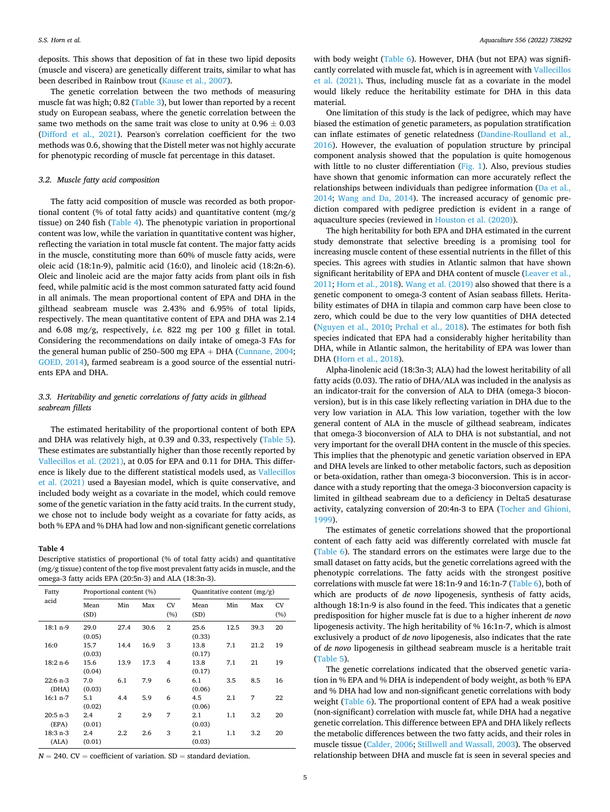deposits. This shows that deposition of fat in these two lipid deposits (muscle and viscera) are genetically different traits, similar to what has been described in Rainbow trout [\(Kause et al., 2007\)](#page-6-0).

The genetic correlation between the two methods of measuring muscle fat was high; 0.82 [\(Table 3](#page-3-0)), but lower than reported by a recent study on European seabass, where the genetic correlation between the same two methods on the same trait was close to unity at  $0.96 \pm 0.03$ ([Difford et al., 2021\)](#page-6-0). Pearson's correlation coefficient for the two methods was 0.6, showing that the Distell meter was not highly accurate for phenotypic recording of muscle fat percentage in this dataset.

#### *3.2. Muscle fatty acid composition*

The fatty acid composition of muscle was recorded as both proportional content (% of total fatty acids) and quantitative content (mg/g tissue) on 240 fish (Table 4). The phenotypic variation in proportional content was low, while the variation in quantitative content was higher, reflecting the variation in total muscle fat content. The major fatty acids in the muscle, constituting more than 60% of muscle fatty acids, were oleic acid (18:1n-9), palmitic acid (16:0), and linoleic acid (18:2n-6). Oleic and linoleic acid are the major fatty acids from plant oils in fish feed, while palmitic acid is the most common saturated fatty acid found in all animals. The mean proportional content of EPA and DHA in the gilthead seabream muscle was 2.43% and 6.95% of total lipids, respectively. The mean quantitative content of EPA and DHA was 2.14 and 6.08 mg/g, respectively, *i.e.* 822 mg per 100 g fillet in total. Considering the recommendations on daily intake of omega-3 FAs for the general human public of 250–500 mg EPA + DHA ([Cunnane, 2004](#page-6-0); [GOED, 2014\)](#page-6-0), farmed seabream is a good source of the essential nutrients EPA and DHA.

# *3.3. Heritability and genetic correlations of fatty acids in gilthead seabream fillets*

The estimated heritability of the proportional content of both EPA and DHA was relatively high, at 0.39 and 0.33, respectively ([Table 5](#page-5-0)). These estimates are substantially higher than those recently reported by [Vallecillos et al. \(2021\)](#page-7-0), at 0.05 for EPA and 0.11 for DHA. This difference is likely due to the different statistical models used, as [Vallecillos](#page-7-0)  [et al. \(2021\)](#page-7-0) used a Bayesian model, which is quite conservative, and included body weight as a covariate in the model, which could remove some of the genetic variation in the fatty acid traits. In the current study, we chose not to include body weight as a covariate for fatty acids, as both % EPA and % DHA had low and non-significant genetic correlations

#### **Table 4**

Descriptive statistics of proportional (% of total fatty acids) and quantitative (mg/g tissue) content of the top five most prevalent fatty acids in muscle, and the omega-3 fatty acids EPA (20:5n-3) and ALA (18:3n-3).

| Fatty               |                | Proportional content (%) |      |                |                   | Quantitative content $(mg/g)$ |      |           |  |
|---------------------|----------------|--------------------------|------|----------------|-------------------|-------------------------------|------|-----------|--|
| acid                | Mean<br>(SD)   | Min                      | Max  | CV<br>(%)      | Mean<br>(SD)      | Min                           | Max  | CV<br>(%) |  |
| $18:1 n-9$          | 29.0<br>(0.05) | 27.4                     | 30.6 | $\overline{2}$ | 25.6<br>(0.33)    | 12.5                          | 39.3 | 20        |  |
| 16:0                | 15.7<br>(0.03) | 14.4                     | 16.9 | 3              | 13.8<br>(0.17)    | 7.1                           | 21.2 | 19        |  |
| $18:2 n-6$          | 15.6<br>(0.04) | 13.9                     | 17.3 | 4              | 13.8<br>(0.17)    | 7.1                           | 21   | 19        |  |
| $22:6$ n-3<br>(DHA) | 7.0<br>(0.03)  | 6.1                      | 7.9  | 6              | 6.1<br>(0.06)     | 3.5                           | 8.5  | 16        |  |
| $16:1 n-7$          | 5.1<br>(0.02)  | 4.4                      | 5.9  | 6              | 4.5<br>(0.06)     | 2.1                           | 7    | 22        |  |
| $20:5 n-3$<br>(EPA) | 2.4<br>(0.01)  | $\mathbf{2}$             | 2.9  | 7              | $2.1\,$<br>(0.03) | 1.1                           | 3.2  | 20        |  |
| $18:3 n-3$<br>(ALA) | 2.4<br>(0.01)  | $2.2\,$                  | 2.6  | 3              | $2.1\,$<br>(0.03) | 1.1                           | 3.2  | 20        |  |

 $N = 240$ . CV = coefficient of variation. SD = standard deviation.

with body weight ([Table 6\)](#page-5-0). However, DHA (but not EPA) was significantly correlated with muscle fat, which is in agreement with [Vallecillos](#page-7-0)  [et al. \(2021\)](#page-7-0). Thus, including muscle fat as a covariate in the model would likely reduce the heritability estimate for DHA in this data material.

One limitation of this study is the lack of pedigree, which may have biased the estimation of genetic parameters, as population stratification can inflate estimates of genetic relatedness [\(Dandine-Roulland et al.,](#page-6-0)  [2016\)](#page-6-0). However, the evaluation of population structure by principal component analysis showed that the population is quite homogenous with little to no cluster differentiation ([Fig. 1](#page-3-0)). Also, previous studies have shown that genomic information can more accurately reflect the relationships between individuals than pedigree information ([Da et al.,](#page-6-0)  [2014;](#page-6-0) [Wang and Da, 2014](#page-7-0)). The increased accuracy of genomic prediction compared with pedigree prediction is evident in a range of aquaculture species (reviewed in [Houston et al. \(2020\)\)](#page-6-0).

The high heritability for both EPA and DHA estimated in the current study demonstrate that selective breeding is a promising tool for increasing muscle content of these essential nutrients in the fillet of this species. This agrees with studies in Atlantic salmon that have shown significant heritability of EPA and DHA content of muscle ([Leaver et al.,](#page-6-0)  [2011; Horn et al., 2018\)](#page-6-0). [Wang et al. \(2019\)](#page-7-0) also showed that there is a genetic component to omega-3 content of Asian seabass fillets. Heritability estimates of DHA in tilapia and common carp have been close to zero, which could be due to the very low quantities of DHA detected ([Nguyen et al., 2010;](#page-7-0) [Prchal et al., 2018\)](#page-7-0). The estimates for both fish species indicated that EPA had a considerably higher heritability than DHA, while in Atlantic salmon, the heritability of EPA was lower than DHA ([Horn et al., 2018](#page-6-0)).

Alpha-linolenic acid (18:3n-3; ALA) had the lowest heritability of all fatty acids (0.03). The ratio of DHA/ALA was included in the analysis as an indicator-trait for the conversion of ALA to DHA (omega-3 bioconversion), but is in this case likely reflecting variation in DHA due to the very low variation in ALA. This low variation, together with the low general content of ALA in the muscle of gilthead seabream, indicates that omega-3 bioconversion of ALA to DHA is not substantial, and not very important for the overall DHA content in the muscle of this species. This implies that the phenotypic and genetic variation observed in EPA and DHA levels are linked to other metabolic factors, such as deposition or beta-oxidation, rather than omega-3 bioconversion. This is in accordance with a study reporting that the omega-3 bioconversion capacity is limited in gilthead seabream due to a deficiency in Delta5 desaturase activity, catalyzing conversion of 20:4n-3 to EPA [\(Tocher and Ghioni,](#page-7-0)  [1999\)](#page-7-0).

The estimates of genetic correlations showed that the proportional content of each fatty acid was differently correlated with muscle fat ([Table 6\)](#page-5-0). The standard errors on the estimates were large due to the small dataset on fatty acids, but the genetic correlations agreed with the phenotypic correlations. The fatty acids with the strongest positive correlations with muscle fat were 18:1n-9 and 16:1n-7 [\(Table 6\)](#page-5-0), both of which are products of *de novo* lipogenesis, synthesis of fatty acids, although 18:1n-9 is also found in the feed. This indicates that a genetic predisposition for higher muscle fat is due to a higher inherent *de novo*  lipogenesis activity. The high heritability of % 16:1n-7, which is almost exclusively a product of *de novo* lipogenesis, also indicates that the rate of *de novo* lipogenesis in gilthead seabream muscle is a heritable trait ([Table 5](#page-5-0)).

The genetic correlations indicated that the observed genetic variation in % EPA and % DHA is independent of body weight, as both % EPA and % DHA had low and non-significant genetic correlations with body weight [\(Table 6](#page-5-0)). The proportional content of EPA had a weak positive (non-significant) correlation with muscle fat, while DHA had a negative genetic correlation. This difference between EPA and DHA likely reflects the metabolic differences between the two fatty acids, and their roles in muscle tissue [\(Calder, 2006;](#page-6-0) [Stillwell and Wassall, 2003](#page-7-0)). The observed relationship between DHA and muscle fat is seen in several species and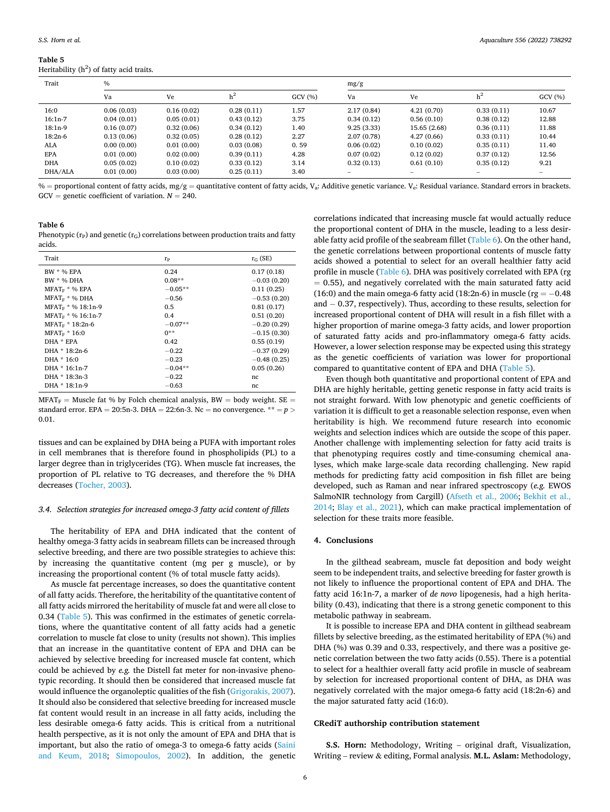<span id="page-5-0"></span>**Table 5** 

Heritability  $(h^2)$  of fatty acid traits.

| Trait      | $\frac{0}{0}$ |            |            |        |            | mg/g         |            |        |  |
|------------|---------------|------------|------------|--------|------------|--------------|------------|--------|--|
|            | Va            | Ve         |            | GCV(%) | Va         | Ve           | $h^2$      | GCV(%) |  |
| 16:0       | 0.06(0.03)    | 0.16(0.02) | 0.28(0.11) | 1.57   | 2.17(0.84) | 4.21(0.70)   | 0.33(0.11) | 10.67  |  |
| $16:1n-7$  | 0.04(0.01)    | 0.05(0.01) | 0.43(0.12) | 3.75   | 0.34(0.12) | 0.56(0.10)   | 0.38(0.12) | 12.88  |  |
| $18:1n-9$  | 0.16(0.07)    | 0.32(0.06) | 0.34(0.12) | 1.40   | 9.25(3.33) | 15.65 (2.68) | 0.36(0.11) | 11.88  |  |
| $18:2n-6$  | 0.13(0.06)    | 0.32(0.05) | 0.28(0.12) | 2.27   | 2.07(0.78) | 4.27(0.66)   | 0.33(0.11) | 10.44  |  |
| ALA        | 0.00(0.00)    | 0.01(0.00) | 0.03(0.08) | 0.59   | 0.06(0.02) | 0.10(0.02)   | 0.35(0.11) | 11.40  |  |
| <b>EPA</b> | 0.01(0.00)    | 0.02(0.00) | 0.39(0.11) | 4.28   | 0.07(0.02) | 0.12(0.02)   | 0.37(0.12) | 12.56  |  |
| <b>DHA</b> | 0.05(0.02)    | 0.10(0.02) | 0.33(0.12) | 3.14   | 0.32(0.13) | 0.61(0.10)   | 0.35(0.12) | 9.21   |  |
| DHA/ALA    | 0.01(0.00)    | 0.03(0.00) | 0.25(0.11) | 3.40   | -          |              |            |        |  |

 $%$  = proportional content of fatty acids, mg/g = quantitative content of fatty acids, V<sub>a</sub>: Additive genetic variance. V<sub>e</sub>: Residual variance. Standard errors in brackets. GCV = genetic coefficient of variation.  $N = 240$ .

# **Table 6**

| Phenotypic ( $r_p$ ) and genetic ( $r_G$ ) correlations between production traits and fatty |  |  |  |
|---------------------------------------------------------------------------------------------|--|--|--|
| acids.                                                                                      |  |  |  |

| Trait                    | rp        | $r_G$ (SE)    |
|--------------------------|-----------|---------------|
| <b>BW</b> * % <b>FPA</b> | 0.24      | 0.17(0.18)    |
| BW * % DHA               | $0.08**$  | $-0.03(0.20)$ |
| $MFATF * % EPA$          | $-0.05**$ | 0.11(0.25)    |
| $MFAT_F$ * % DHA         | $-0.56$   | $-0.53(0.20)$ |
| $MFAT_F * % 18:1n-9$     | 0.5       | 0.81(0.17)    |
| $MFAT_F * % 16:1n-7$     | 0.4       | 0.51(0.20)    |
| $MFATF * 18:2n-6$        | $-0.07**$ | $-0.20(0.29)$ |
| $MFAT_F * 16:0$          | $0**$     | $-0.15(0.30)$ |
| DHA * FPA                | 0.42      | 0.55(0.19)    |
| DHA * 18:2n-6            | $-0.22$   | $-0.37(0.29)$ |
| DHA * 16:0               | $-0.23$   | $-0.48(0.25)$ |
| DHA * 16:1n-7            | $-0.04**$ | 0.05(0.26)    |
| DHA * 18:3n-3            | $-0.22$   | nc            |
| DHA * 18:1n-9            | $-0.63$   | nc            |

 $MFAT_F$  = Muscle fat % by Folch chemical analysis, BW = body weight. SE = standard error. EPA = 20:5n-3. DHA = 22:6n-3. Nc = no convergence. \*\* = *p >* 0.01.

tissues and can be explained by DHA being a PUFA with important roles in cell membranes that is therefore found in phospholipids (PL) to a larger degree than in triglycerides (TG). When muscle fat increases, the proportion of PL relative to TG decreases, and therefore the % DHA decreases [\(Tocher, 2003](#page-7-0)).

#### *3.4. Selection strategies for increased omega-3 fatty acid content of fillets*

The heritability of EPA and DHA indicated that the content of healthy omega-3 fatty acids in seabream fillets can be increased through selective breeding, and there are two possible strategies to achieve this: by increasing the quantitative content (mg per g muscle), or by increasing the proportional content (% of total muscle fatty acids).

As muscle fat percentage increases, so does the quantitative content of all fatty acids. Therefore, the heritability of the quantitative content of all fatty acids mirrored the heritability of muscle fat and were all close to 0.34 (Table 5). This was confirmed in the estimates of genetic correlations, where the quantitative content of all fatty acids had a genetic correlation to muscle fat close to unity (results not shown). This implies that an increase in the quantitative content of EPA and DHA can be achieved by selective breeding for increased muscle fat content, which could be achieved by *e.g.* the Distell fat meter for non-invasive phenotypic recording. It should then be considered that increased muscle fat would influence the organoleptic qualities of the fish ([Grigorakis, 2007](#page-6-0)). It should also be considered that selective breeding for increased muscle fat content would result in an increase in all fatty acids, including the less desirable omega-6 fatty acids. This is critical from a nutritional health perspective, as it is not only the amount of EPA and DHA that is important, but also the ratio of omega-3 to omega-6 fatty acids [\(Saini](#page-7-0)  [and Keum, 2018;](#page-7-0) [Simopoulos, 2002](#page-7-0)). In addition, the genetic correlations indicated that increasing muscle fat would actually reduce the proportional content of DHA in the muscle, leading to a less desirable fatty acid profile of the seabream fillet (Table 6). On the other hand, the genetic correlations between proportional contents of muscle fatty acids showed a potential to select for an overall healthier fatty acid profile in muscle (Table 6). DHA was positively correlated with EPA (rg  $= 0.55$ ), and negatively correlated with the main saturated fatty acid (16:0) and the main omega-6 fatty acid (18:2n-6) in muscle ( $rg = -0.48$ and − 0.37, respectively). Thus, according to these results, selection for increased proportional content of DHA will result in a fish fillet with a higher proportion of marine omega-3 fatty acids, and lower proportion of saturated fatty acids and pro-inflammatory omega-6 fatty acids. However, a lower selection response may be expected using this strategy as the genetic coefficients of variation was lower for proportional compared to quantitative content of EPA and DHA (Table 5).

Even though both quantitative and proportional content of EPA and DHA are highly heritable, getting genetic response in fatty acid traits is not straight forward. With low phenotypic and genetic coefficients of variation it is difficult to get a reasonable selection response, even when heritability is high. We recommend future research into economic weights and selection indices which are outside the scope of this paper. Another challenge with implementing selection for fatty acid traits is that phenotyping requires costly and time-consuming chemical analyses, which make large-scale data recording challenging. New rapid methods for predicting fatty acid composition in fish fillet are being developed, such as Raman and near infrared spectroscopy (*e.g.* EWOS SalmoNIR technology from Cargill) [\(Afseth et al., 2006](#page-6-0); [Bekhit et al.,](#page-6-0)  [2014;](#page-6-0) [Blay et al., 2021](#page-6-0)), which can make practical implementation of selection for these traits more feasible.

## **4. Conclusions**

In the gilthead seabream, muscle fat deposition and body weight seem to be independent traits, and selective breeding for faster growth is not likely to influence the proportional content of EPA and DHA. The fatty acid 16:1n-7, a marker of *de novo* lipogenesis, had a high heritability (0.43), indicating that there is a strong genetic component to this metabolic pathway in seabream.

It is possible to increase EPA and DHA content in gilthead seabream fillets by selective breeding, as the estimated heritability of EPA (%) and DHA (%) was 0.39 and 0.33, respectively, and there was a positive genetic correlation between the two fatty acids (0.55). There is a potential to select for a healthier overall fatty acid profile in muscle of seabream by selection for increased proportional content of DHA, as DHA was negatively correlated with the major omega-6 fatty acid (18:2n-6) and the major saturated fatty acid (16:0).

# **CRediT authorship contribution statement**

**S.S. Horn:** Methodology, Writing – original draft, Visualization, Writing – review & editing, Formal analysis. **M.L. Aslam:** Methodology,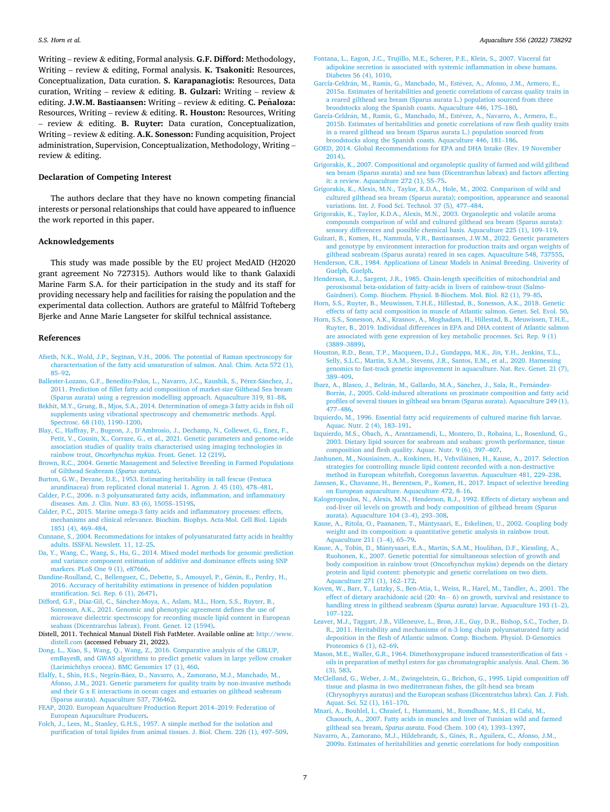<span id="page-6-0"></span>Writing – review & editing, Formal analysis. **G.F. Difford:** Methodology, Writing – review & editing, Formal analysis. **K. Tsakoniti:** Resources, Conceptualization, Data curation. **S. Karapanagiotis:** Resources, Data curation, Writing – review & editing. **B. Gulzari:** Writing – review & editing. J.W.M. Bastiaansen: Writing – review & editing. C. Peñaloza: Resources, Writing – review & editing. **R. Houston:** Resources, Writing – review & editing. **B. Ruyter:** Data curation, Conceptualization, Writing – review & editing. **A.K. Sonesson:** Funding acquisition, Project administration, Supervision, Conceptualization, Methodology, Writing – review & editing.

# **Declaration of Competing Interest**

The authors declare that they have no known competing financial interests or personal relationships that could have appeared to influence the work reported in this paper.

# **Acknowledgements**

This study was made possible by the EU project MedAID (H2020 grant agreement No 727315). Authors would like to thank Galaxidi Marine Farm S.A. for their participation in the study and its staff for providing necessary help and facilities for raising the population and the experimental data collection. Authors are grateful to Målfrid Tofteberg Bjerke and Anne Marie Langseter for skilful technical assistance.

## **References**

- [Afseth, N.K., Wold, J.P., Segtnan, V.H., 2006. The potential of Raman spectroscopy for](http://refhub.elsevier.com/S0044-8486(22)00408-2/rf0005)  [characterisation of the fatty acid unsaturation of salmon. Anal. Chim. Acta 572 \(1\),](http://refhub.elsevier.com/S0044-8486(22)00408-2/rf0005)  85–[92](http://refhub.elsevier.com/S0044-8486(22)00408-2/rf0005).
- [Ballester-Lozano, G.F., Benedito-Palos, L., Navarro, J.C., Kaushik, S., P](http://refhub.elsevier.com/S0044-8486(22)00408-2/rf0010)érez-Sánchez, J., [2011. Prediction of fillet fatty acid composition of market-size Gilthead Sea bream](http://refhub.elsevier.com/S0044-8486(22)00408-2/rf0010)  [\(Sparus aurata\) using a regression modelling approach. Aquaculture 319, 81](http://refhub.elsevier.com/S0044-8486(22)00408-2/rf0010)–88.
- [Bekhit, M.Y., Grung, B., Mjos, S.A., 2014. Determination of omega-3 fatty acids in fish oil](http://refhub.elsevier.com/S0044-8486(22)00408-2/rf0015)  [supplements using vibrational spectroscopy and chemometric methods. Appl.](http://refhub.elsevier.com/S0044-8486(22)00408-2/rf0015)  [Spectrosc. 68 \(10\), 1190](http://refhub.elsevier.com/S0044-8486(22)00408-2/rf0015)–1200.
- Blay, C., Haffray, P., Bugeon, J., D'[Ambrosio, J., Dechamp, N., Collewet, G., Enez, F.,](http://refhub.elsevier.com/S0044-8486(22)00408-2/rf0020)  [Petit, V., Cousin, X., Corraze, G., et al., 2021. Genetic parameters and genome-wide](http://refhub.elsevier.com/S0044-8486(22)00408-2/rf0020)  [association studies of quality traits characterised using imaging technologies in](http://refhub.elsevier.com/S0044-8486(22)00408-2/rf0020) rainbow trout, *Oncorhynchus mykiss*[. Front. Genet. 12 \(219\).](http://refhub.elsevier.com/S0044-8486(22)00408-2/rf0020)
- [Brown, R.C., 2004. Genetic Management and Selective Breeding in Farmed Populations](http://refhub.elsevier.com/S0044-8486(22)00408-2/rf0025)  [of Gilthead Seabream \(](http://refhub.elsevier.com/S0044-8486(22)00408-2/rf0025)*Sparus aurata*).
- [Burton, G.W., Devane, D.E., 1953. Estimating heritability in tall fescue \(Festuca](http://refhub.elsevier.com/S0044-8486(22)00408-2/rf0030) [arundinacea\) from replicated clonal material 1. Agron. J. 45 \(10\), 478](http://refhub.elsevier.com/S0044-8486(22)00408-2/rf0030)–481.
- [Calder, P.C., 2006. n-3 polyunsaturated fatty acids, inflammation, and inflammatory](http://refhub.elsevier.com/S0044-8486(22)00408-2/rf0035)  [diseases. Am. J. Clin. Nutr. 83 \(6\), 1505S](http://refhub.elsevier.com/S0044-8486(22)00408-2/rf0035)–1519S.
- [Calder, P.C., 2015. Marine omega-3 fatty acids and inflammatory processes: effects,](http://refhub.elsevier.com/S0044-8486(22)00408-2/rf0040)  [mechanisms and clinical relevance. Biochim. Biophys. Acta-Mol. Cell Biol. Lipids](http://refhub.elsevier.com/S0044-8486(22)00408-2/rf0040) [1851 \(4\), 469](http://refhub.elsevier.com/S0044-8486(22)00408-2/rf0040)–484.
- [Cunnane, S., 2004. Recommedations for intakes of polyunsaturated fatty acids in healthy](http://refhub.elsevier.com/S0044-8486(22)00408-2/rf0045)  [adults. ISSFAL Newslett. 11, 12](http://refhub.elsevier.com/S0044-8486(22)00408-2/rf0045)–25.
- [Da, Y., Wang, C., Wang, S., Hu, G., 2014. Mixed model methods for genomic prediction](http://refhub.elsevier.com/S0044-8486(22)00408-2/rf0050)  [and variance component estimation of additive and dominance effects using SNP](http://refhub.elsevier.com/S0044-8486(22)00408-2/rf0050) [markers. PLoS One 9 \(1\), e87666.](http://refhub.elsevier.com/S0044-8486(22)00408-2/rf0050)
- [Dandine-Roulland, C., Bellenguez, C., Debette, S., Amouyel, P., G](http://refhub.elsevier.com/S0044-8486(22)00408-2/rf0055)énin, E., Perdry, H., [2016. Accuracy of heritability estimations in presence of hidden population](http://refhub.elsevier.com/S0044-8486(22)00408-2/rf0055)  [stratification. Sci. Rep. 6 \(1\), 26471](http://refhub.elsevier.com/S0044-8486(22)00408-2/rf0055).
- Difford, G.F., Díaz-Gil, C., Sánchez-Moya, A., Aslam, M.L., Horn, S.S., Ruyter, B., [Sonesson, A.K., 2021. Genomic and phenotypic agreement defines the use of](http://refhub.elsevier.com/S0044-8486(22)00408-2/rf0060) [microwave dielectric spectroscopy for recording muscle lipid content in European](http://refhub.elsevier.com/S0044-8486(22)00408-2/rf0060) [seabass \(Dicentrarchus labrax\). Front. Genet. 12 \(1594\)](http://refhub.elsevier.com/S0044-8486(22)00408-2/rf0060).
- Distell, 2011. Technical Manual Distell Fish FatMeter. Available online at: [http://www.](http://www.distell.com)  [distell.com](http://www.distell.com) (accessed Febuary 21, 2022).
- [Dong, L., Xiao, S., Wang, Q., Wang, Z., 2016. Comparative analysis of the GBLUP,](http://refhub.elsevier.com/S0044-8486(22)00408-2/rf0070) [emBayesB, and GWAS algorithms to predict genetic values in large yellow croaker](http://refhub.elsevier.com/S0044-8486(22)00408-2/rf0070) [\(Larimichthys crocea\). BMC Genomics 17 \(1\), 460.](http://refhub.elsevier.com/S0044-8486(22)00408-2/rf0070)
- Elalfy, I., Shin, H.S., Negrín-Báez, D., Navarro, A., Zamorano, M.J., Manchado, M., [Afonso, J.M., 2021. Genetic parameters for quality traits by non-invasive methods](http://refhub.elsevier.com/S0044-8486(22)00408-2/rf0075) [and their G x E interactions in ocean cages and estuaries on gilthead seabream](http://refhub.elsevier.com/S0044-8486(22)00408-2/rf0075)  [\(Sparus aurata\). Aquaculture 537, 736462](http://refhub.elsevier.com/S0044-8486(22)00408-2/rf0075).
- [FEAP, 2020. European Aquaculture Production Report 2014](http://refhub.elsevier.com/S0044-8486(22)00408-2/rf0080)–2019: Federation of [European Aqauculture Producers](http://refhub.elsevier.com/S0044-8486(22)00408-2/rf0080).
- [Folch, J., Lees, M., Stanley, G.H.S., 1957. A simple method for the isolation and](http://refhub.elsevier.com/S0044-8486(22)00408-2/rf0085) [purification of total lipides from animal tissues. J. Biol. Chem. 226 \(1\), 497](http://refhub.elsevier.com/S0044-8486(22)00408-2/rf0085)–509.
- [Fontana, L., Eagon, J.C., Trujillo, M.E., Scherer, P.E., Klein, S., 2007. Visceral fat](http://refhub.elsevier.com/S0044-8486(22)00408-2/rf0090)  [adipokine secretion is associated with systemic inflammation in obese humans.](http://refhub.elsevier.com/S0044-8486(22)00408-2/rf0090) [Diabetes 56 \(4\), 1010.](http://refhub.elsevier.com/S0044-8486(22)00408-2/rf0090)
- García-Celdrán, M., Ramis, G., Manchado, M., Estévez, A., Afonso, J.M., Armero, E., [2015a. Estimates of heritabilities and genetic correlations of carcass quality traits in](http://refhub.elsevier.com/S0044-8486(22)00408-2/rf0095)  [a reared gilthead sea bream \(Sparus aurata L.\) population sourced from three](http://refhub.elsevier.com/S0044-8486(22)00408-2/rf0095) [broodstocks along the Spanish coasts. Aquaculture 446, 175](http://refhub.elsevier.com/S0044-8486(22)00408-2/rf0095)–180.
- García-Celdrán, M., Ramis, G., Manchado, M., Estévez, A., Navarro, A., Armero, E., [2015b. Estimates of heritabilities and genetic correlations of raw flesh quality traits](http://refhub.elsevier.com/S0044-8486(22)00408-2/rf0100)  [in a reared gilthead sea bream \(Sparus aurata L.\) population sourced from](http://refhub.elsevier.com/S0044-8486(22)00408-2/rf0100) [broodstocks along the Spanish coasts. Aquaculture 446, 181](http://refhub.elsevier.com/S0044-8486(22)00408-2/rf0100)–186.
- GOED, 2014. Global Recommendations for EPA and DHA Intake (Rev. 19 November [2014\)](http://refhub.elsevier.com/S0044-8486(22)00408-2/rf0105).
- [Grigorakis, K., 2007. Compositional and organoleptic quality of farmed and wild gilthead](http://refhub.elsevier.com/S0044-8486(22)00408-2/rf0110)  [sea bream \(Sparus aurata\) and sea bass \(Dicentrarchus labrax\) and factors affecting](http://refhub.elsevier.com/S0044-8486(22)00408-2/rf0110)  [it: a review. Aquaculture 272 \(1\), 55](http://refhub.elsevier.com/S0044-8486(22)00408-2/rf0110)–75.
- [Grigorakis, K., Alexis, M.N., Taylor, K.D.A., Hole, M., 2002. Comparison of wild and](http://refhub.elsevier.com/S0044-8486(22)00408-2/rf0115)  [cultured gilthead sea bream \(Sparus aurata\); composition, appearance and seasonal](http://refhub.elsevier.com/S0044-8486(22)00408-2/rf0115)  [variations. Int. J. Food Sci. Technol. 37 \(5\), 477](http://refhub.elsevier.com/S0044-8486(22)00408-2/rf0115)–484.
- [Grigorakis, K., Taylor, K.D.A., Alexis, M.N., 2003. Organoleptic and volatile aroma](http://refhub.elsevier.com/S0044-8486(22)00408-2/rf0120)  [compounds comparison of wild and cultured gilthead sea bream \(Sparus aurata\):](http://refhub.elsevier.com/S0044-8486(22)00408-2/rf0120)  [sensory differences and possible chemical basis. Aquaculture 225 \(1\), 109](http://refhub.elsevier.com/S0044-8486(22)00408-2/rf0120)–119.
- [Gulzari, B., Komen, H., Nammula, V.R., Bastiaansen, J.W.M., 2022. Genetic parameters](http://refhub.elsevier.com/S0044-8486(22)00408-2/rf0125)  [and genotype by environment interaction for production traits and organ weights of](http://refhub.elsevier.com/S0044-8486(22)00408-2/rf0125)  [gilthead seabream \(Sparus aurata\) reared in sea cages. Aquaculture 548, 737555](http://refhub.elsevier.com/S0044-8486(22)00408-2/rf0125).
- [Henderson, C.R., 1984. Applications of Linear Models in Animal Breeding. Univerity of](http://refhub.elsevier.com/S0044-8486(22)00408-2/rf0130) [Guelph, Guelph](http://refhub.elsevier.com/S0044-8486(22)00408-2/rf0130).
- [Henderson, R.J., Sargent, J.R., 1985. Chain-length specificities of mitochondrial and](http://refhub.elsevier.com/S0044-8486(22)00408-2/rf0135) [peroxisomal beta-oxidation of fatty-acids in livers of rainbow-trout \(Salmo-](http://refhub.elsevier.com/S0044-8486(22)00408-2/rf0135)[Gairdneri\). Comp. Biochem. Physiol. B-Biochem. Mol. Biol. 82 \(1\), 79](http://refhub.elsevier.com/S0044-8486(22)00408-2/rf0135)–85.
- [Horn, S.S., Ruyter, B., Meuwissen, T.H.E., Hillestad, B., Sonesson, A.K., 2018. Genetic](http://refhub.elsevier.com/S0044-8486(22)00408-2/rf0140)  [effects of fatty acid composition in muscle of Atlantic salmon. Genet. Sel. Evol. 50.](http://refhub.elsevier.com/S0044-8486(22)00408-2/rf0140)
- [Horn, S.S., Sonesson, A.K., Krasnov, A., Moghadam, H., Hillestad, B., Meuwissen, T.H.E.,](http://refhub.elsevier.com/S0044-8486(22)00408-2/rf0145)  [Ruyter, B., 2019. Individual differences in EPA and DHA content of Atlantic salmon](http://refhub.elsevier.com/S0044-8486(22)00408-2/rf0145)  [are associated with gene expression of key metabolic processes. Sci. Rep. 9 \(1\)](http://refhub.elsevier.com/S0044-8486(22)00408-2/rf0145) (3889–[3889\)](http://refhub.elsevier.com/S0044-8486(22)00408-2/rf0145).
- [Houston, R.D., Bean, T.P., Macqueen, D.J., Gundappa, M.K., Jin, Y.H., Jenkins, T.L.,](http://refhub.elsevier.com/S0044-8486(22)00408-2/rf0150) [Selly, S.L.C., Martin, S.A.M., Stevens, J.R., Santos, E.M., et al., 2020. Harnessing](http://refhub.elsevier.com/S0044-8486(22)00408-2/rf0150) [genomics to fast-track genetic improvement in aquaculture. Nat. Rev. Genet. 21 \(7\),](http://refhub.elsevier.com/S0044-8486(22)00408-2/rf0150)  389–[409](http://refhub.elsevier.com/S0044-8486(22)00408-2/rf0150).
- Ibarz, A., Blasco, J., Beltrán, M., Gallardo, M.A., Sánchez, J., Sala, R., Fernández-Borràs, [J., 2005. Cold-induced alterations on proximate composition and fatty acid](http://refhub.elsevier.com/S0044-8486(22)00408-2/rf0155) [profiles of several tissues in gilthead sea bream \(Sparus aurata\). Aquaculture 249 \(1\),](http://refhub.elsevier.com/S0044-8486(22)00408-2/rf0155)  477–[486](http://refhub.elsevier.com/S0044-8486(22)00408-2/rf0155).
- [Izquierdo, M., 1996. Essential fatty acid requirements of cultured marine fish larvae.](http://refhub.elsevier.com/S0044-8486(22)00408-2/rf0160)  [Aquac. Nutr. 2 \(4\), 183](http://refhub.elsevier.com/S0044-8486(22)00408-2/rf0160)–191.
- [Izquierdo, M.S., Obach, A., Arantzamendi, L., Montero, D., Robaina, L., Rosenlund, G.,](http://refhub.elsevier.com/S0044-8486(22)00408-2/rf0165) [2003. Dietary lipid sources for seabream and seabass: growth performance, tissue](http://refhub.elsevier.com/S0044-8486(22)00408-2/rf0165)  [composition and flesh quality. Aquac. Nutr. 9 \(6\), 397](http://refhub.elsevier.com/S0044-8486(22)00408-2/rf0165)–407.
- [Janhunen, M., Nousiainen, A., Koskinen, H., Vehvil](http://refhub.elsevier.com/S0044-8486(22)00408-2/rf0170)äinen, H., Kause, A., 2017. Selection [strategies for controlling muscle lipid content recorded with a non-destructive](http://refhub.elsevier.com/S0044-8486(22)00408-2/rf0170)  [method in European whitefish, Coregonus lavaretus. Aquaculture 481, 229](http://refhub.elsevier.com/S0044-8486(22)00408-2/rf0170)–238.
- [Janssen, K., Chavanne, H., Berentsen, P., Komen, H., 2017. Impact of selective breeding](http://refhub.elsevier.com/S0044-8486(22)00408-2/rf0175)  [on European aquaculture. Aquaculture 472, 8](http://refhub.elsevier.com/S0044-8486(22)00408-2/rf0175)–16.
- [Kalogeropoulos, N., Alexis, M.N., Henderson, R.J., 1992. Effects of dietary soybean and](http://refhub.elsevier.com/S0044-8486(22)00408-2/rf0180)  [cod-liver oil levels on growth and body composition of gilthead bream \(Sparus](http://refhub.elsevier.com/S0044-8486(22)00408-2/rf0180)  [aurata\). Aquaculture 104 \(3](http://refhub.elsevier.com/S0044-8486(22)00408-2/rf0180)–4), 293–308.
- Kause, A., Ritola, O., Paananen, T., Mäntysaari, E., Eskelinen, U., 2002. Coupling body [weight and its composition: a quantitative genetic analysis in rainbow trout.](http://refhub.elsevier.com/S0044-8486(22)00408-2/rf0185)  [Aquaculture 211 \(1](http://refhub.elsevier.com/S0044-8486(22)00408-2/rf0185)–4), 65–79.
- Kause, A., Tobin, D., Mäntysaari, E.A., Martin, S.A.M., Houlihan, D.F., Kiessling, A., [Ruohonen, K., 2007. Genetic potential for simultaneous selection of growth and](http://refhub.elsevier.com/S0044-8486(22)00408-2/rf0190)  [body composition in rainbow trout \(Oncorhynchus mykiss\) depends on the dietary](http://refhub.elsevier.com/S0044-8486(22)00408-2/rf0190)  [protein and lipid content: phenotypic and genetic correlations on two diets.](http://refhub.elsevier.com/S0044-8486(22)00408-2/rf0190)  [Aquaculture 271 \(1\), 162](http://refhub.elsevier.com/S0044-8486(22)00408-2/rf0190)–172.
- [Koven, W., Barr, Y., Lutzky, S., Ben-Atia, I., Weiss, R., Harel, M., Tandler, A., 2001. The](http://refhub.elsevier.com/S0044-8486(22)00408-2/rf0195)  [effect of dietary arachidonic acid \(20: 4n](http://refhub.elsevier.com/S0044-8486(22)00408-2/rf0195)− 6) on growth, survival and resistance to [handling stress in gilthead seabream \(](http://refhub.elsevier.com/S0044-8486(22)00408-2/rf0195)*Sparus aurata*) larvae. Aquaculture 193 (1–2), 107–[122](http://refhub.elsevier.com/S0044-8486(22)00408-2/rf0195).
- [Leaver, M.J., Taggart, J.B., Villeneuve, L., Bron, J.E., Guy, D.R., Bishop, S.C., Tocher, D.](http://refhub.elsevier.com/S0044-8486(22)00408-2/rf0200)  [R., 2011. Heritability and mechanisms of n-3 long chain polyunsaturated fatty acid](http://refhub.elsevier.com/S0044-8486(22)00408-2/rf0200)  [deposition in the flesh of Atlantic salmon. Comp. Biochem. Physiol. D-Genomics](http://refhub.elsevier.com/S0044-8486(22)00408-2/rf0200)  [Proteomics 6 \(1\), 62](http://refhub.elsevier.com/S0044-8486(22)00408-2/rf0200)–69.
- [Mason, M.E., Waller, G.R., 1964. Dimethoxypropane induced transesterification of fats](http://refhub.elsevier.com/S0044-8486(22)00408-2/rf0205) + [oils in preparation of methyl esters for gas chromatographic analysis. Anal. Chem. 36](http://refhub.elsevier.com/S0044-8486(22)00408-2/rf0205)  [\(3\), 583.](http://refhub.elsevier.com/S0044-8486(22)00408-2/rf0205)
- [McClelland, G., Weber, J.-M., Zwingelstein, G., Brichon, G., 1995. Lipid composition off](http://refhub.elsevier.com/S0044-8486(22)00408-2/rf0210)  [tissue and plasma in two mediterranean fishes, the gilt-head sea bream](http://refhub.elsevier.com/S0044-8486(22)00408-2/rf0210)  [\(Chrysophyrys auratus\) and the European seabass \(Dicentratchus labrx\). Can. J. Fish.](http://refhub.elsevier.com/S0044-8486(22)00408-2/rf0210)  [Aquat. Sci. 52 \(1\), 161](http://refhub.elsevier.com/S0044-8486(22)00408-2/rf0210)–170.
- [Mnari, A., Bouhlel, I., Chraief, I., Hammami, M., Romdhane, M.S., El Cafsi, M.,](http://refhub.elsevier.com/S0044-8486(22)00408-2/rf0215)  [Chaouch, A., 2007. Fatty acids in muscles and liver of Tunisian wild and farmed](http://refhub.elsevier.com/S0044-8486(22)00408-2/rf0215)  gilthead sea bream, *Sparus aurata*[. Food Chem. 100 \(4\), 1393](http://refhub.elsevier.com/S0044-8486(22)00408-2/rf0215)–1397.
- [Navarro, A., Zamorano, M.J., Hildebrandt, S., Gin](http://refhub.elsevier.com/S0044-8486(22)00408-2/rf0220)és, R., Aguilera, C., Afonso, J.M., [2009a. Estimates of heritabilities and genetic correlations for body composition](http://refhub.elsevier.com/S0044-8486(22)00408-2/rf0220)